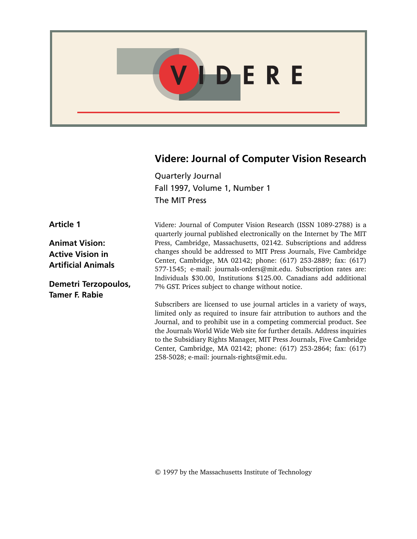

### **Videre: Journal of Computer Vision Research**

Quarterly Journal Fall 1997, Volume 1, Number 1 The MIT Press

Videre: Journal of Computer Vision Research (ISSN 1089-2788) is a quarterly journal published electronically on the Internet by The MIT Press, Cambridge, Massachusetts, 02142. Subscriptions and address changes should be addressed to MIT Press Journals, Five Cambridge Center, Cambridge, MA 02142; phone: (617) 253-2889; fax: (617) 577-1545; e-mail: journals-orders@mit.edu. Subscription rates are: Individuals \$30.00, Institutions \$125.00. Canadians add additional 7% GST. Prices subject to change without notice.

Subscribers are licensed to use journal articles in a variety of ways, limited only as required to insure fair attribution to authors and the Journal, and to prohibit use in a competing commercial product. See the Journals World Wide Web site for further details. Address inquiries to the Subsidiary Rights Manager, MIT Press Journals, Five Cambridge Center, Cambridge, MA 02142; phone: (617) 253-2864; fax: (617) 258-5028; e-mail: journals-rights@mit.edu.

**Article 1**

**Animat Vision: Active Vision in Artificial Animals**

**Demetri Terzopoulos, Tamer F. Rabie**

© 1997 by the Massachusetts Institute of Technology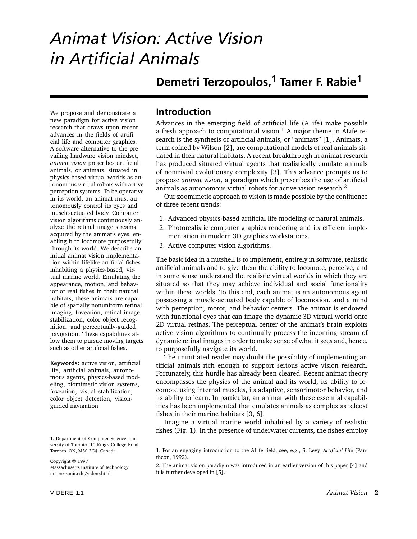# *Animat Vision: Active Vision in Artificial Animals*

## **Demetri Terzopoulos,<sup>1</sup> Tamer F. Rabie<sup>1</sup>**

We propose and demonstrate a new paradigm for active vision research that draws upon recent advances in the fields of artificial life and computer graphics. A software alternative to the prevailing hardware vision mindset, *animat vision* prescribes artificial animals, or animats, situated in physics-based virtual worlds as autonomous virtual robots with active perception systems. To be operative in its world, an animat must autonomously control its eyes and muscle-actuated body. Computer vision algorithms continuously analyze the retinal image streams acquired by the animat's eyes, enabling it to locomote purposefully through its world. We describe an initial animat vision implementation within lifelike artificial fishes inhabiting a physics-based, virtual marine world. Emulating the appearance, motion, and behavior of real fishes in their natural habitats, these animats are capable of spatially nonuniform retinal imaging, foveation, retinal image stabilization, color object recognition, and perceptually-guided navigation. These capabilities allow them to pursue moving targets such as other artificial fishes.

**Keywords:** active vision, artificial life, artificial animals, autonomous agents, physics-based modeling, biomimetic vision systems, foveation, visual stabilization, color object detection, visionguided navigation

### **Introduction**

Advances in the emerging field of artificial life (ALife) make possible a fresh approach to computational vision.<sup>1</sup> A major theme in ALife research is the synthesis of artificial animals, or "animats" [1]. Animats, a term coined by Wilson [2], are computational models of real animals situated in their natural habitats. A recent breakthrough in animat research has produced situated virtual agents that realistically emulate animals of nontrivial evolutionary complexity [3]. This advance prompts us to propose *animat vision*, a paradigm which prescribes the use of artificial animals as autonomous virtual robots for active vision research.<sup>2</sup>

Our zoomimetic approach to vision is made possible by the confluence of three recent trends:

- 1. Advanced physics-based artificial life modeling of natural animals.
- 2. Photorealistic computer graphics rendering and its efficient implementation in modern 3D graphics workstations.
- 3. Active computer vision algorithms.

The basic idea in a nutshell is to implement, entirely in software, realistic artificial animals and to give them the ability to locomote, perceive, and in some sense understand the realistic virtual worlds in which they are situated so that they may achieve individual and social functionality within these worlds. To this end, each animat is an autonomous agent possessing a muscle-actuated body capable of locomotion, and a mind with perception, motor, and behavior centers. The animat is endowed with functional eyes that can image the dynamic 3D virtual world onto 2D virtual retinas. The perceptual center of the animat's brain exploits active vision algorithms to continually process the incoming stream of dynamic retinal images in order to make sense of what it sees and, hence, to purposefully navigate its world.

The uninitiated reader may doubt the possibility of implementing artificial animals rich enough to support serious active vision research. Fortunately, this hurdle has already been cleared. Recent animat theory encompasses the physics of the animal and its world, its ability to locomote using internal muscles, its adaptive, sensorimotor behavior, and its ability to learn. In particular, an animat with these essential capabilities has been implemented that emulates animals as complex as teleost fishes in their marine habitats [3, 6].

Imagine a virtual marine world inhabited by a variety of realistic fishes (Fig. 1). In the presence of underwater currents, the fishes employ

<sup>1.</sup> Department of Computer Science, University of Toronto, 10 King's College Road, Toronto, ON, M5S 3G4, Canada

Copyright © 1997 Massachusetts Institute of Technology mitpress.mit.edu/videre.html

<sup>1.</sup> For an engaging introduction to the ALife field, see, e.g., S. Levy, *Artificial Life* (Pantheon, 1992).

<sup>2.</sup> The animat vision paradigm was introduced in an earlier version of this paper [4] and it is further developed in [5].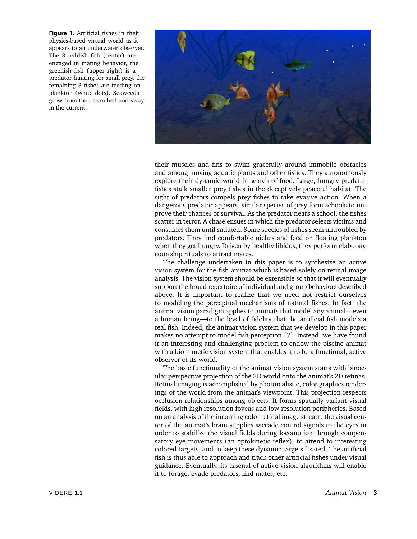**Figure 1.** Artificial fishes in their physics-based virtual world as it appears to an underwater observer. The 3 reddish fish (center) are engaged in mating behavior, the greenish fish (upper right) is a predator hunting for small prey, the remaining 3 fishes are feeding on plankton (white dots). Seaweeds grow from the ocean bed and sway in the current.



their muscles and fins to swim gracefully around immobile obstacles and among moving aquatic plants and other fishes. They autonomously explore their dynamic world in search of food. Large, hungry predator fishes stalk smaller prey fishes in the deceptively peaceful habitat. The sight of predators compels prey fishes to take evasive action. When a dangerous predator appears, similar species of prey form schools to improve their chances of survival. As the predator nears a school, the fishes scatter in terror. A chase ensues in which the predator selects victims and consumes them until satiated. Some species of fishes seem untroubled by predators. They find comfortable niches and feed on floating plankton when they get hungry. Driven by healthy libidos, they perform elaborate courtship rituals to attract mates.

The challenge undertaken in this paper is to synthesize an active vision system for the fish animat which is based solely on retinal image analysis. The vision system should be extensible so that it will eventually support the broad repertoire of individual and group behaviors described above. It is important to realize that we need not restrict ourselves to modeling the perceptual mechanisms of natural fishes. In fact, the animat vision paradigm applies to animats that model any animal—even a human being—to the level of fidelity that the artificial fish models a real fish. Indeed, the animat vision system that we develop in this paper makes no attempt to model fish perception [7]. Instead, we have found it an interesting and challenging problem to endow the piscine animat with a biomimetic vision system that enables it to be a functional, active observer of its world.

The basic functionality of the animat vision system starts with binocular perspective projection of the 3D world onto the animat's 2D retinas. Retinal imaging is accomplished by photorealistic, color graphics renderings of the world from the animat's viewpoint. This projection respects occlusion relationships among objects. It forms spatially variant visual fields, with high resolution foveas and low resolution peripheries. Based on an analysis of the incoming color retinal image stream, the visual center of the animat's brain supplies saccade control signals to the eyes in order to stabilize the visual fields during locomotion through compensatory eye movements (an optokinetic reflex), to attend to interesting colored targets, and to keep these dynamic targets fixated. The artificial fish is thus able to approach and track other artificial fishes under visual guidance. Eventually, its arsenal of active vision algorithms will enable it to forage, evade predators, find mates, etc.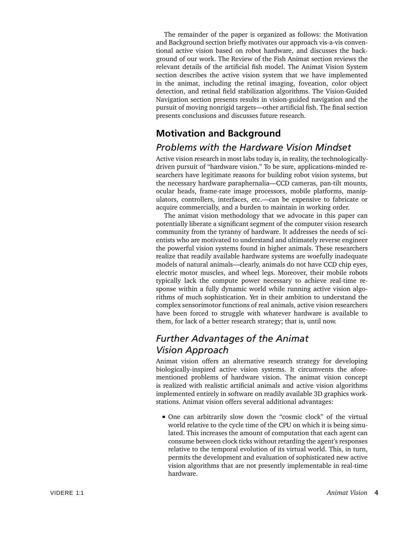The remainder of the paper is organized as follows: the Motivation and Background section briefly motivates our approach vis-a-vis conventional active vision based on robot hardware, and discusses the background of our work. The Review of the Fish Animat section reviews the relevant details of the artificial fish model. The Animat Vision System section describes the active vision system that we have implemented in the animat, including the retinal imaging, foveation, color object detection, and retinal field stabilization algorithms. The Vision-Guided Navigation section presents results in vision-guided navigation and the pursuit of moving nonrigid targets—other artificial fish. The final section presents conclusions and discusses future research.

### **Motivation and Background**

### *Problems with the Hardware Vision Mindset*

Active vision research in most labs today is, in reality, the technologicallydriven pursuit of "hardware vision." To be sure, applications-minded researchers have legitimate reasons for building robot vision systems, but the necessary hardware paraphernalia—CCD cameras, pan-tilt mounts, ocular heads, frame-rate image processors, mobile platforms, manipulators, controllers, interfaces, etc.—can be expensive to fabricate or acquire commercially, and a burden to maintain in working order.

The animat vision methodology that we advocate in this paper can potentially liberate a significant segment of the computer vision research community from the tyranny of hardware. It addresses the needs of scientists who are motivated to understand and ultimately reverse engineer the powerful vision systems found in higher animals. These researchers realize that readily available hardware systems are woefully inadequate models of natural animals—clearly, animals do not have CCD chip eyes, electric motor muscles, and wheel legs. Moreover, their mobile robots typically lack the compute power necessary to achieve real-time response within a fully dynamic world while running active vision algorithms of much sophistication. Yet in their ambition to understand the complex sensorimotor functions of real animals, active vision researchers have been forced to struggle with whatever hardware is available to them, for lack of a better research strategy; that is, until now.

### *Further Advantages of the Animat Vision Approach*

Animat vision offers an alternative research strategy for developing biologically-inspired active vision systems. It circumvents the aforementioned problems of hardware vision. The animat vision concept is realized with realistic artificial animals and active vision algorithms implemented entirely in software on readily available 3D graphics workstations. Animat vision offers several additional advantages:

One can arbitrarily slow down the "cosmic clock" of the virtual world relative to the cycle time of the CPU on which it is being simulated. This increases the amount of computation that each agent can consume between clock ticks without retarding the agent's responses relative to the temporal evolution of its virtual world. This, in turn, permits the development and evaluation of sophisticated new active vision algorithms that are not presently implementable in real-time hardware.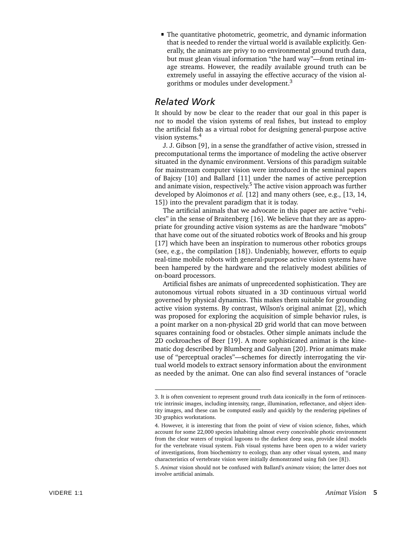The quantitative photometric, geometric, and dynamic information that is needed to render the virtual world is available explicitly. Generally, the animats are privy to no environmental ground truth data, but must glean visual information "the hard way"—from retinal image streams. However, the readily available ground truth can be extremely useful in assaying the effective accuracy of the vision algorithms or modules under development.3

### *Related Work*

It should by now be clear to the reader that our goal in this paper is *not* to model the vision systems of real fishes, but instead to employ the artificial fish as a virtual robot for designing general-purpose active vision systems.4

J. J. Gibson [9], in a sense the grandfather of active vision, stressed in precomputational terms the importance of modeling the active observer situated in the dynamic environment. Versions of this paradigm suitable for mainstream computer vision were introduced in the seminal papers of Bajcsy [10] and Ballard [11] under the names of active perception and animate vision, respectively.<sup>5</sup> The active vision approach was further developed by Aloimonos *et al.* [12] and many others (see, e.g., [13, 14, 15]) into the prevalent paradigm that it is today.

The artificial animals that we advocate in this paper are active "vehicles" in the sense of Braitenberg [16]. We believe that they are as appropriate for grounding active vision systems as are the hardware "mobots" that have come out of the situated robotics work of Brooks and his group [17] which have been an inspiration to numerous other robotics groups (see, e.g., the compilation [18]). Undeniably, however, efforts to equip real-time mobile robots with general-purpose active vision systems have been hampered by the hardware and the relatively modest abilities of on-board processors.

Artificial fishes are animats of unprecedented sophistication. They are autonomous virtual robots situated in a 3D continuous virtual world governed by physical dynamics. This makes them suitable for grounding active vision systems. By contrast, Wilson's original animat [2], which was proposed for exploring the acquisition of simple behavior rules, is a point marker on a non-physical 2D grid world that can move between squares containing food or obstacles. Other simple animats include the 2D cockroaches of Beer [19]. A more sophisticated animat is the kinematic dog described by Blumberg and Galyean [20]. Prior animats make use of "perceptual oracles"—schemes for directly interrogating the virtual world models to extract sensory information about the environment as needed by the animat. One can also find several instances of "oracle

<sup>3.</sup> It is often convenient to represent ground truth data iconically in the form of retinocentric intrinsic images, including intensity, range, illumination, reflectance, and object identity images, and these can be computed easily and quickly by the rendering pipelines of 3D graphics workstations.

<sup>4.</sup> However, it is interesting that from the point of view of vision science, fishes, which account for some 22,000 species inhabiting almost every conceivable photic environment from the clear waters of tropical lagoons to the darkest deep seas, provide ideal models for the vertebrate visual system. Fish visual systems have been open to a wider variety of investigations, from biochemistry to ecology, than any other visual system, and many characteristics of vertebrate vision were initially demonstrated using fish (see [8]).

<sup>5.</sup> *Animat* vision should not be confused with Ballard's *animate* vision; the latter does not involve artificial animals.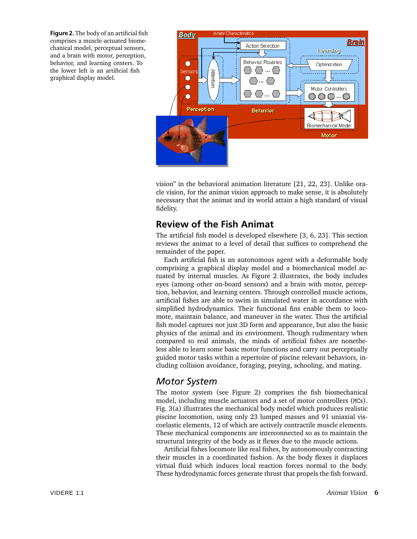**Figure 2.** The body of an artificial fish comprises a muscle-actuated biomechanical model, perceptual sensors, and a brain with motor, perception, behavior, and learning centers. To the lower left is an artificial fish graphical display model.



vision" in the behavioral animation literature [21, 22, 23]. Unlike oracle vision, for the animat vision approach to make sense, it is absolutely necessary that the animat and its world attain a high standard of visual fidelity.

### **Review of the Fish Animat**

The artificial fish model is developed elsewhere [3, 6, 23]. This section reviews the animat to a level of detail that suffices to comprehend the remainder of the paper.

Each artificial fish is an autonomous agent with a deformable body comprising a graphical display model and a biomechanical model actuated by internal muscles. As Figure 2 illustrates, the body includes eyes (among other on-board sensors) and a brain with motor, perception, behavior, and learning centers. Through controlled muscle actions, artificial fishes are able to swim in simulated water in accordance with simplified hydrodynamics. Their functional fins enable them to locomote, maintain balance, and maneuver in the water. Thus the artificial fish model captures not just 3D form and appearance, but also the basic physics of the animal and its environment. Though rudimentary when compared to real animals, the minds of artificial fishes are nonetheless able to learn some basic motor functions and carry out perceptually guided motor tasks within a repertoire of piscine relevant behaviors, including collision avoidance, foraging, preying, schooling, and mating.

### *Motor System*

The motor system (see Figure 2) comprises the fish biomechanical model, including muscle actuators and a set of motor controllers (MCs). Fig. 3(a) illustrates the mechanical body model which produces realistic piscine locomotion, using only 23 lumped masses and 91 uniaxial viscoelastic elements, 12 of which are actively contractile muscle elements. These mechanical components are interconnected so as to maintain the structural integrity of the body as it flexes due to the muscle actions.

Artificial fishes locomote like real fishes, by autonomously contracting their muscles in a coordinated fashion. As the body flexes it displaces virtual fluid which induces local reaction forces normal to the body. These hydrodynamic forces generate thrust that propels the fish forward.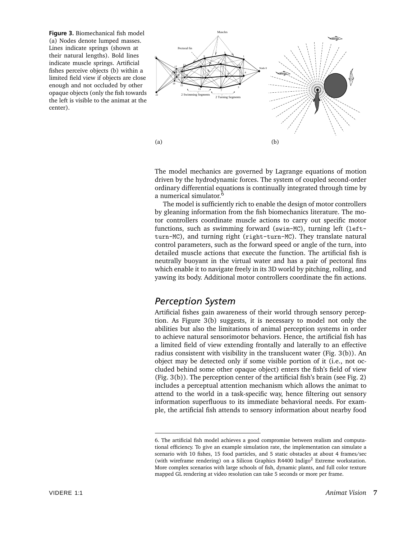**Figure 3.** Biomechanical fish model (a) Nodes denote lumped masses. Lines indicate springs (shown at their natural lengths). Bold lines indicate muscle springs. Artificial fishes perceive objects (b) within a limited field view if objects are close enough and not occluded by other opaque objects (only the fish towards the left is visible to the animat at the center).



The model mechanics are governed by Lagrange equations of motion driven by the hydrodynamic forces. The system of coupled second-order ordinary differential equations is continually integrated through time by a numerical simulator.<sup>6</sup>

The model is sufficiently rich to enable the design of motor controllers by gleaning information from the fish biomechanics literature. The motor controllers coordinate muscle actions to carry out specific motor functions, such as swimming forward (swim-MC), turning left (leftturn-MC), and turning right (right-turn-MC). They translate natural control parameters, such as the forward speed or angle of the turn, into detailed muscle actions that execute the function. The artificial fish is neutrally buoyant in the virtual water and has a pair of pectoral fins which enable it to navigate freely in its 3D world by pitching, rolling, and yawing its body. Additional motor controllers coordinate the fin actions.

### *Perception System*

Artificial fishes gain awareness of their world through sensory perception. As Figure 3(b) suggests, it is necessary to model not only the abilities but also the limitations of animal perception systems in order to achieve natural sensorimotor behaviors. Hence, the artificial fish has a limited field of view extending frontally and laterally to an effective radius consistent with visibility in the translucent water (Fig. 3(b)). An object may be detected only if some visible portion of it (i.e., not occluded behind some other opaque object) enters the fish's field of view (Fig. 3(b)). The perception center of the artificial fish's brain (see Fig. 2) includes a perceptual attention mechanism which allows the animat to attend to the world in a task-specific way, hence filtering out sensory information superfluous to its immediate behavioral needs. For example, the artificial fish attends to sensory information about nearby food

<sup>6.</sup> The artificial fish model achieves a good compromise between realism and computational efficiency. To give an example simulation rate, the implementation can simulate a scenario with 10 fishes, 15 food particles, and 5 static obstacles at about 4 frames/sec (with wireframe rendering) on a Silicon Graphics R4400 Indigo<sup>2</sup> Extreme workstation. More complex scenarios with large schools of fish, dynamic plants, and full color texture mapped GL rendering at video resolution can take 5 seconds or more per frame.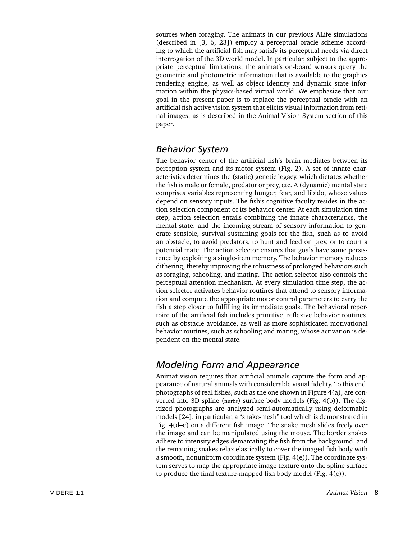sources when foraging. The animats in our previous ALife simulations (described in [3, 6, 23]) employ a perceptual oracle scheme according to which the artificial fish may satisfy its perceptual needs via direct interrogation of the 3D world model. In particular, subject to the appropriate perceptual limitations, the animat's on-board sensors query the geometric and photometric information that is available to the graphics rendering engine, as well as object identity and dynamic state information within the physics-based virtual world. We emphasize that our goal in the present paper is to replace the perceptual oracle with an artificial fish active vision system that elicits visual information from retinal images, as is described in the Animal Vision System section of this paper.

### *Behavior System*

The behavior center of the artificial fish's brain mediates between its perception system and its motor system (Fig. 2). A set of innate characteristics determines the (static) genetic legacy, which dictates whether the fish is male or female, predator or prey, etc. A (dynamic) mental state comprises variables representing hunger, fear, and libido, whose values depend on sensory inputs. The fish's cognitive faculty resides in the action selection component of its behavior center. At each simulation time step, action selection entails combining the innate characteristics, the mental state, and the incoming stream of sensory information to generate sensible, survival sustaining goals for the fish, such as to avoid an obstacle, to avoid predators, to hunt and feed on prey, or to court a potential mate. The action selector ensures that goals have some persistence by exploiting a single-item memory. The behavior memory reduces dithering, thereby improving the robustness of prolonged behaviors such as foraging, schooling, and mating. The action selector also controls the perceptual attention mechanism. At every simulation time step, the action selector activates behavior routines that attend to sensory information and compute the appropriate motor control parameters to carry the fish a step closer to fulfilling its immediate goals. The behavioral repertoire of the artificial fish includes primitive, reflexive behavior routines, such as obstacle avoidance, as well as more sophisticated motivational behavior routines, such as schooling and mating, whose activation is dependent on the mental state.

### *Modeling Form and Appearance*

Animat vision requires that artificial animals capture the form and appearance of natural animals with considerable visual fidelity. To this end, photographs of real fishes, such as the one shown in Figure 4(a), are converted into 3D spline (nurbs) surface body models (Fig. 4(b)). The digitized photographs are analyzed semi-automatically using deformable models [24], in particular, a "snake-mesh" tool which is demonstrated in Fig. 4(d–e) on a different fish image. The snake mesh slides freely over the image and can be manipulated using the mouse. The border snakes adhere to intensity edges demarcating the fish from the background, and the remaining snakes relax elastically to cover the imaged fish body with a smooth, nonuniform coordinate system (Fig. 4(e)). The coordinate system serves to map the appropriate image texture onto the spline surface to produce the final texture-mapped fish body model (Fig. 4(c)).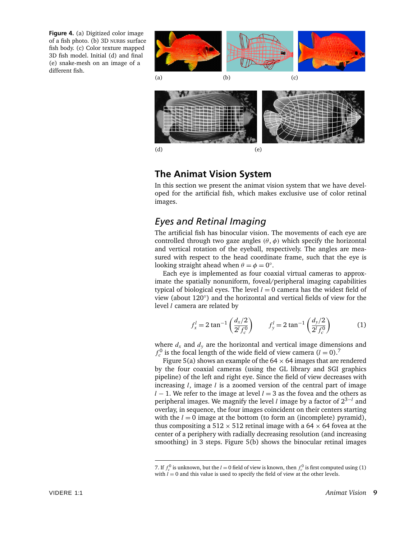**Figure 4.** (a) Digitized color image of a fish photo. (b) 3D NURBS surface fish body. (c) Color texture mapped 3D fish model. Initial (d) and final (e) snake-mesh on an image of a different fish.



### **The Animat Vision System**

In this section we present the animat vision system that we have developed for the artificial fish, which makes exclusive use of color retinal images.

### *Eyes and Retinal Imaging*

The artificial fish has binocular vision. The movements of each eye are controlled through two gaze angles  $(\theta, \phi)$  which specify the horizontal and vertical rotation of the eyeball, respectively. The angles are measured with respect to the head coordinate frame, such that the eye is looking straight ahead when  $\theta = \phi = 0$ °.

Each eye is implemented as four coaxial virtual cameras to approximate the spatially nonuniform, foveal/peripheral imaging capabilities typical of biological eyes. The level  $l = 0$  camera has the widest field of view (about 120◦) and the horizontal and vertical fields of view for the level *l* camera are related by

$$
f_x^l = 2 \tan^{-1} \left( \frac{d_x/2}{2^l f_c^0} \right) \qquad f_y^l = 2 \tan^{-1} \left( \frac{d_y/2}{2^l f_c^0} \right) \tag{1}
$$

where  $d_x$  and  $d_y$  are the horizontal and vertical image dimensions and  $f_c^0$  is the focal length of the wide field of view camera  $(l = 0)$ .<sup>7</sup>

Figure 5(a) shows an example of the  $64 \times 64$  images that are rendered by the four coaxial cameras (using the GL library and SGI graphics pipeline) of the left and right eye. Since the field of view decreases with increasing *l*, image *l* is a zoomed version of the central part of image *l* − 1. We refer to the image at level *l* = 3 as the fovea and the others as peripheral images. We magnify the level *l* image by a factor of 23−*<sup>l</sup>* and overlay, in sequence, the four images coincident on their centers starting with the  $l = 0$  image at the bottom (to form an (incomplete) pyramid), thus compositing a 512  $\times$  512 retinal image with a 64  $\times$  64 fovea at the center of a periphery with radially decreasing resolution (and increasing smoothing) in 3 steps. Figure 5(b) shows the binocular retinal images

<sup>7.</sup> If  $f_c^0$  is unknown, but the *l* = 0 field of view is known, then  $f_c^0$  is first computed using (1) with  $l = 0$  and this value is used to specify the field of view at the other levels.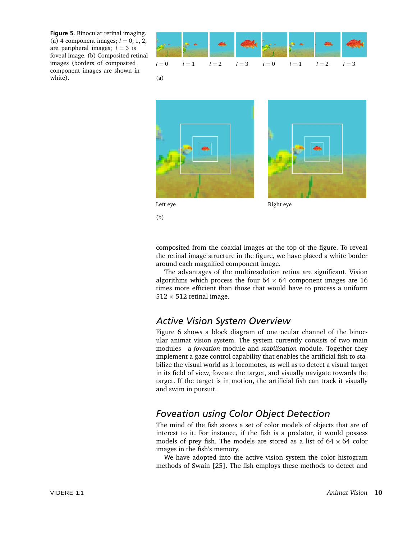**Figure 5.** Binocular retinal imaging. (a) 4 component images;  $l = 0, 1, 2$ , are peripheral images;  $l = 3$  is foveal image. (b) Composited retinal images (borders of composited component images are shown in white).









(b)

composited from the coaxial images at the top of the figure. To reveal the retinal image structure in the figure, we have placed a white border

around each magnified component image. The advantages of the multiresolution retina are significant. Vision algorithms which process the four  $64 \times 64$  component images are 16 times more efficient than those that would have to process a uniform  $512 \times 512$  retinal image.

### *Active Vision System Overview*

Figure 6 shows a block diagram of one ocular channel of the binocular animat vision system. The system currently consists of two main modules—a *foveation* module and *stabilization* module. Together they implement a gaze control capability that enables the artificial fish to stabilize the visual world as it locomotes, as well as to detect a visual target in its field of view, foveate the target, and visually navigate towards the target. If the target is in motion, the artificial fish can track it visually and swim in pursuit.

### *Foveation using Color Object Detection*

The mind of the fish stores a set of color models of objects that are of interest to it. For instance, if the fish is a predator, it would possess models of prey fish. The models are stored as a list of  $64 \times 64$  color images in the fish's memory.

We have adopted into the active vision system the color histogram methods of Swain [25]. The fish employs these methods to detect and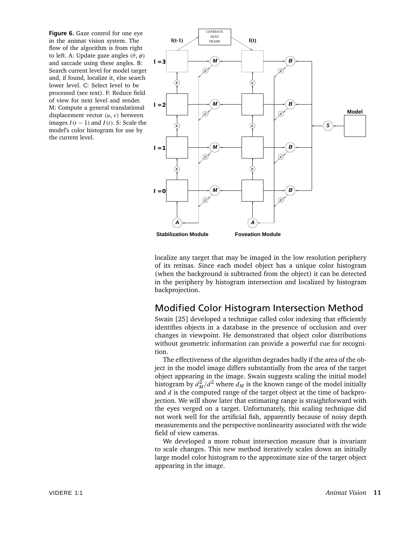**Figure 6.** Gaze control for one eye in the animat vision system. The flow of the algorithm is from right to left. A: Update gaze angles *(θ*, *φ)* and saccade using these angles. B: Search current level for model target and, if found, localize it, else search lower level. C: Select level to be processed (see text). F: Reduce field of view for next level and render. M: Compute a general translational displacement vector *(u*, *v)* between images *I (t* − 1*)* and *I (t)*. S: Scale the model's color histogram for use by the current level.



localize any target that may be imaged in the low resolution periphery of its retinas. Since each model object has a unique color histogram (when the background is subtracted from the object) it can be detected in the periphery by histogram intersection and localized by histogram backprojection.

### Modified Color Histogram Intersection Method

Swain [25] developed a technique called color indexing that efficiently identifies objects in a database in the presence of occlusion and over changes in viewpoint. He demonstrated that object color distributions without geometric information can provide a powerful cue for recognition.

The effectiveness of the algorithm degrades badly if the area of the object in the model image differs substantially from the area of the target object appearing in the image. Swain suggests scaling the initial model histogram by  $d_M^2/d^2$  where  $d_M$  is the known range of the model initially and *d* is the computed range of the target object at the time of backprojection. We will show later that estimating range is straightforward with the eyes verged on a target. Unfortunately, this scaling technique did not work well for the artificial fish, apparently because of noisy depth measurements and the perspective nonlinearity associated with the wide field of view cameras.

We developed a more robust intersection measure that is invariant to scale changes. This new method iteratively scales down an initially large model color histogram to the approximate size of the target object appearing in the image.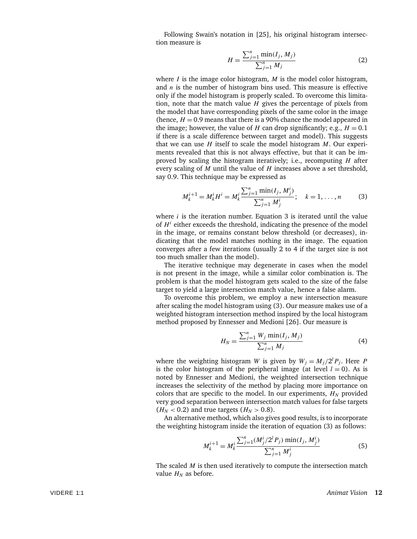Following Swain's notation in [25], his original histogram intersection measure is

$$
H = \frac{\sum_{j=1}^{n} \min(I_j, M_j)}{\sum_{j=1}^{n} M_j}
$$
 (2)

where *I* is the image color histogram, *M* is the model color histogram, and *n* is the number of histogram bins used. This measure is effective only if the model histogram is properly scaled. To overcome this limitation, note that the match value *H* gives the percentage of pixels from the model that have corresponding pixels of the same color in the image (hence,  $H = 0.9$  means that there is a 90% chance the model appeared in the image; however, the value of *H* can drop significantly; e.g.,  $H = 0.1$ if there is a scale difference between target and model). This suggests that we can use *H* itself to scale the model histogram *M*. Our experiments revealed that this is not always effective, but that it can be improved by scaling the histogram iteratively; i.e., recomputing *H* after every scaling of *M* until the value of *H* increases above a set threshold, say 0.9. This technique may be expressed as

$$
M_k^{i+1} = M_k^i H^i = M_k^i \frac{\sum_{j=1}^n \min(I_j, M_j^i)}{\sum_{j=1}^n M_j^i}; \quad k = 1, ..., n
$$
 (3)

where *i* is the iteration number. Equation 3 is iterated until the value of *H<sup>i</sup>* either exceeds the threshold, indicating the presence of the model in the image, or remains constant below threshold (or decreases), indicating that the model matches nothing in the image. The equation converges after a few iterations (usually 2 to 4 if the target size is not too much smaller than the model).

The iterative technique may degenerate in cases when the model is not present in the image, while a similar color combination is. The problem is that the model histogram gets scaled to the size of the false target to yield a large intersection match value, hence a false alarm.

To overcome this problem, we employ a new intersection measure after scaling the model histogram using (3). Our measure makes use of a weighted histogram intersection method inspired by the local histogram method proposed by Ennesser and Medioni [26]. Our measure is

$$
H_N = \frac{\sum_{j=1}^{n} W_j \min(I_j, M_j)}{\sum_{j=1}^{n} M_j}
$$
 (4)

where the weighting histogram *W* is given by  $W_j = M_j/2^l P_j$ . Here *P* is the color histogram of the peripheral image (at level  $l = 0$ ). As is noted by Ennesser and Medioni, the weighted intersection technique increases the selectivity of the method by placing more importance on colors that are specific to the model. In our experiments,  $H_N$  provided very good separation between intersection match values for false targets  $(H_N < 0.2)$  and true targets  $(H_N > 0.8)$ .

An alternative method, which also gives good results, is to incorporate the weighting histogram inside the iteration of equation (3) as follows:

$$
M_k^{i+1} = M_k^i \frac{\sum_{j=1}^n (M_j^i/2^l P_j) \min(I_j, M_j^i)}{\sum_{j=1}^n M_j^i}
$$
 (5)

The scaled *M* is then used iteratively to compute the intersection match value  $H_N$  as before.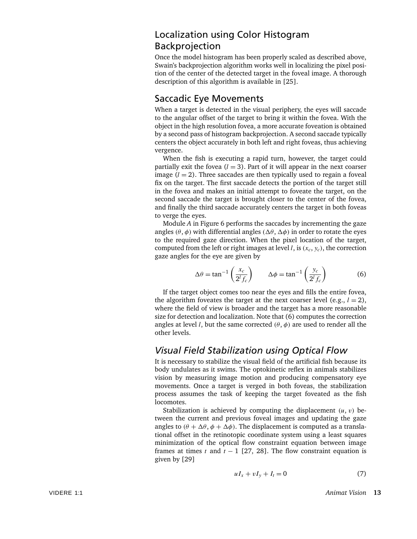### Localization using Color Histogram Backprojection

Once the model histogram has been properly scaled as described above, Swain's backprojection algorithm works well in localizing the pixel position of the center of the detected target in the foveal image. A thorough description of this algorithm is available in [25].

### Saccadic Eye Movements

When a target is detected in the visual periphery, the eyes will saccade to the angular offset of the target to bring it within the fovea. With the object in the high resolution fovea, a more accurate foveation is obtained by a second pass of histogram backprojection. A second saccade typically centers the object accurately in both left and right foveas, thus achieving vergence.

When the fish is executing a rapid turn, however, the target could partially exit the fovea  $(l = 3)$ . Part of it will appear in the next coarser image  $(l = 2)$ . Three saccades are then typically used to regain a foveal fix on the target. The first saccade detects the portion of the target still in the fovea and makes an initial attempt to foveate the target, on the second saccade the target is brought closer to the center of the fovea, and finally the third saccade accurately centers the target in both foveas to verge the eyes.

Module *A* in Figure 6 performs the saccades by incrementing the gaze angles  $(\theta, \phi)$  with differential angles  $(\Delta \theta, \Delta \phi)$  in order to rotate the eyes to the required gaze direction. When the pixel location of the target, computed from the left or right images at level *l*, is  $(x_c, y_c)$ , the correction gaze angles for the eye are given by

$$
\Delta \theta = \tan^{-1} \left( \frac{x_c}{2^l f_c} \right) \qquad \Delta \phi = \tan^{-1} \left( \frac{y_c}{2^l f_c} \right) \tag{6}
$$

If the target object comes too near the eyes and fills the entire fovea, the algorithm foveates the target at the next coarser level (e.g.,  $l = 2$ ), where the field of view is broader and the target has a more reasonable size for detection and localization. Note that (6) computes the correction angles at level *l*, but the same corrected  $(\theta, \phi)$  are used to render all the other levels.

### *Visual Field Stabilization using Optical Flow*

It is necessary to stabilize the visual field of the artificial fish because its body undulates as it swims. The optokinetic reflex in animals stabilizes vision by measuring image motion and producing compensatory eye movements. Once a target is verged in both foveas, the stabilization process assumes the task of keeping the target foveated as the fish locomotes.

Stabilization is achieved by computing the displacement  $(u, v)$  between the current and previous foveal images and updating the gaze angles to  $(\theta + \Delta\theta, \phi + \Delta\phi)$ . The displacement is computed as a translational offset in the retinotopic coordinate system using a least squares minimization of the optical flow constraint equation between image frames at times *t* and  $t - 1$  [27, 28]. The flow constraint equation is given by [29]

$$
uI_x + vI_y + I_t = 0 \tag{7}
$$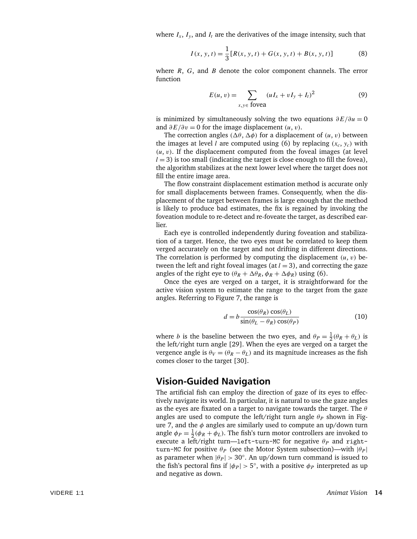where  $I_x$ ,  $I_y$ , and  $I_t$  are the derivatives of the image intensity, such that

$$
I(x, y, t) = \frac{1}{3} [R(x, y, t) + G(x, y, t) + B(x, y, t)]
$$
 (8)

where *R*, *G*, and *B* denote the color component channels. The error function

$$
E(u, v) = \sum_{x, y \in \text{fovea}} (uI_x + vI_y + I_t)^2
$$
 (9)

is minimized by simultaneously solving the two equations *∂E/∂u* = 0 and  $\partial E/\partial v = 0$  for the image displacement  $(u, v)$ .

The correction angles  $(\Delta \theta, \Delta \phi)$  for a displacement of  $(u, v)$  between the images at level *l* are computed using (6) by replacing  $(x_c, y_c)$  with  $(u, v)$ . If the displacement computed from the foveal images (at level  $l = 3$ ) is too small (indicating the target is close enough to fill the fovea), the algorithm stabilizes at the next lower level where the target does not fill the entire image area.

The flow constraint displacement estimation method is accurate only for small displacements between frames. Consequently, when the displacement of the target between frames is large enough that the method is likely to produce bad estimates, the fix is regained by invoking the foveation module to re-detect and re-foveate the target, as described earlier.

Each eye is controlled independently during foveation and stabilization of a target. Hence, the two eyes must be correlated to keep them verged accurately on the target and not drifting in different directions. The correlation is performed by computing the displacement *(u*, *v)* between the left and right foveal images (at  $l = 3$ ), and correcting the gaze angles of the right eye to  $(\theta_R + \Delta\theta_R, \phi_R + \Delta\phi_R)$  using (6).

Once the eyes are verged on a target, it is straightforward for the active vision system to estimate the range to the target from the gaze angles. Referring to Figure 7, the range is

$$
d = b \frac{\cos(\theta_R) \cos(\theta_L)}{\sin(\theta_L - \theta_R) \cos(\theta_P)}
$$
(10)

where *b* is the baseline between the two eyes, and  $\theta_P = \frac{1}{2}(\theta_R + \theta_L)$  is the left/right turn angle [29]. When the eyes are verged on a target the vergence angle is  $\theta_V = (\theta_R - \theta_L)$  and its magnitude increases as the fish comes closer to the target [30].

### **Vision-Guided Navigation**

The artificial fish can employ the direction of gaze of its eyes to effectively navigate its world. In particular, it is natural to use the gaze angles as the eyes are fixated on a target to navigate towards the target. The *θ* angles are used to compute the left/right turn angle  $\theta_P$  shown in Figure 7, and the *φ* angles are similarly used to compute an up/down turn angle  $\phi_P = \frac{1}{2}(\phi_R + \phi_L)$ . The fish's turn motor controllers are invoked to execute a left/right turn—left-turn-MC for negative  $\theta_P$  and rightturn-MC for positive  $θ_P$  (see the Motor System subsection)—with  $|θ_P|$ as parameter when  $|\theta_P| > 30^\circ$ . An up/down turn command is issued to the fish's pectoral fins if  $|\phi_P| > 5^\circ$ , with a positive  $\phi_P$  interpreted as up and negative as down.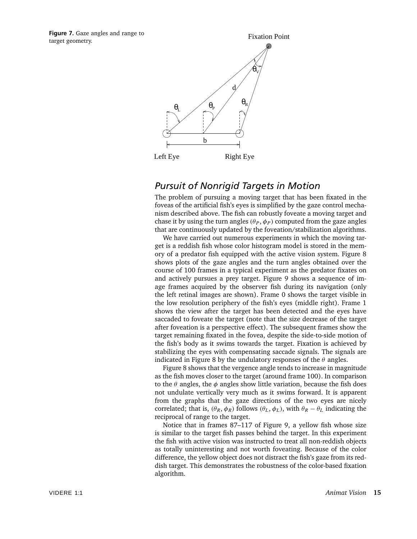**Figure 7.** Gaze angles and range to target geometry.



### *Pursuit of Nonrigid Targets in Motion*

The problem of pursuing a moving target that has been fixated in the foveas of the artificial fish's eyes is simplified by the gaze control mechanism described above. The fish can robustly foveate a moving target and chase it by using the turn angles  $(\theta_P, \phi_P)$  computed from the gaze angles that are continuously updated by the foveation/stabilization algorithms.

We have carried out numerous experiments in which the moving target is a reddish fish whose color histogram model is stored in the memory of a predator fish equipped with the active vision system. Figure 8 shows plots of the gaze angles and the turn angles obtained over the course of 100 frames in a typical experiment as the predator fixates on and actively pursues a prey target. Figure 9 shows a sequence of image frames acquired by the observer fish during its navigation (only the left retinal images are shown). Frame 0 shows the target visible in the low resolution periphery of the fish's eyes (middle right). Frame 1 shows the view after the target has been detected and the eyes have saccaded to foveate the target (note that the size decrease of the target after foveation is a perspective effect). The subsequent frames show the target remaining fixated in the fovea, despite the side-to-side motion of the fish's body as it swims towards the target. Fixation is achieved by stabilizing the eyes with compensating saccade signals. The signals are indicated in Figure 8 by the undulatory responses of the *θ* angles.

Figure 8 shows that the vergence angle tends to increase in magnitude as the fish moves closer to the target (around frame 100). In comparison to the *θ* angles, the *φ* angles show little variation, because the fish does not undulate vertically very much as it swims forward. It is apparent from the graphs that the gaze directions of the two eyes are nicely correlated; that is,  $(\theta_R, \phi_R)$  follows  $(\theta_L, \phi_L)$ , with  $\theta_R - \theta_L$  indicating the reciprocal of range to the target.

Notice that in frames 87–117 of Figure 9, a yellow fish whose size is similar to the target fish passes behind the target. In this experiment the fish with active vision was instructed to treat all non-reddish objects as totally uninteresting and not worth foveating. Because of the color difference, the yellow object does not distract the fish's gaze from its reddish target. This demonstrates the robustness of the color-based fixation algorithm.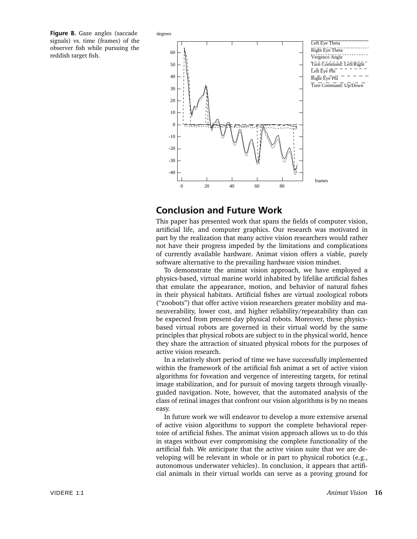**Figure 8.** Gaze angles (saccade signals) vs. time (frames) of the observer fish while pursuing the reddish target fish.



### **Conclusion and Future Work**

This paper has presented work that spans the fields of computer vision, artificial life, and computer graphics. Our research was motivated in part by the realization that many active vision researchers would rather not have their progress impeded by the limitations and complications of currently available hardware. Animat vision offers a viable, purely software alternative to the prevailing hardware vision mindset.

To demonstrate the animat vision approach, we have employed a physics-based, virtual marine world inhabited by lifelike artificial fishes that emulate the appearance, motion, and behavior of natural fishes in their physical habitats. Artificial fishes are virtual zoological robots ("zoobots") that offer active vision researchers greater mobility and maneuverability, lower cost, and higher reliability/repeatability than can be expected from present-day physical robots. Moreover, these physicsbased virtual robots are governed in their virtual world by the same principles that physical robots are subject to in the physical world, hence they share the attraction of situated physical robots for the purposes of active vision research.

In a relatively short period of time we have successfully implemented within the framework of the artificial fish animat a set of active vision algorithms for foveation and vergence of interesting targets, for retinal image stabilization, and for pursuit of moving targets through visuallyguided navigation. Note, however, that the automated analysis of the class of retinal images that confront our vision algorithms is by no means easy.

In future work we will endeavor to develop a more extensive arsenal of active vision algorithms to support the complete behavioral repertoire of artificial fishes. The animat vision approach allows us to do this in stages without ever compromising the complete functionality of the artificial fish. We anticipate that the active vision suite that we are developing will be relevant in whole or in part to physical robotics (e.g., autonomous underwater vehicles). In conclusion, it appears that artificial animals in their virtual worlds can serve as a proving ground for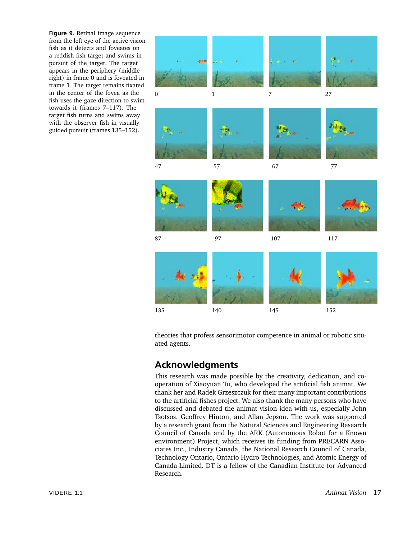**Figure 9.** Retinal image sequence from the left eye of the active vision fish as it detects and foveates on a reddish fish target and swims in pursuit of the target. The target appears in the periphery (middle right) in frame 0 and is foveated in frame 1. The target remains fixated in the center of the fovea as the fish uses the gaze direction to swim towards it (frames 7–117). The target fish turns and swims away with the observer fish in visually guided pursuit (frames 135–152).



theories that profess sensorimotor competence in animal or robotic situated agents.

### **Acknowledgments**

This research was made possible by the creativity, dedication, and cooperation of Xiaoyuan Tu, who developed the artificial fish animat. We thank her and Radek Grzeszczuk for their many important contributions to the artificial fishes project. We also thank the many persons who have discussed and debated the animat vision idea with us, especially John Tsotsos, Geoffrey Hinton, and Allan Jepson. The work was supported by a research grant from the Natural Sciences and Engineering Research Council of Canada and by the ARK (Autonomous Robot for a Known environment) Project, which receives its funding from PRECARN Associates Inc., Industry Canada, the National Research Council of Canada, Technology Ontario, Ontario Hydro Technologies, and Atomic Energy of Canada Limited. DT is a fellow of the Canadian Institute for Advanced Research.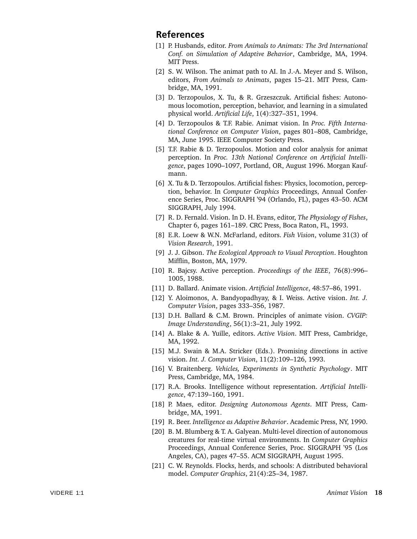### **References**

- [1] P. Husbands, editor. *From Animals to Animats: The 3rd International Conf. on Simulation of Adaptive Behavior*, Cambridge, MA, 1994. MIT Press.
- [2] S. W. Wilson. The animat path to AI. In J.-A. Meyer and S. Wilson, editors, *From Animals to Animats*, pages 15–21. MIT Press, Cambridge, MA, 1991.
- [3] D. Terzopoulos, X. Tu, & R. Grzeszczuk. Artificial fishes: Autonomous locomotion, perception, behavior, and learning in a simulated physical world. *Artificial Life*, 1(4):327–351, 1994.
- [4] D. Terzopoulos & T.F. Rabie. Animat vision. In *Proc. Fifth International Conference on Computer Vision*, pages 801–808, Cambridge, MA, June 1995. IEEE Computer Society Press.
- [5] T.F. Rabie & D. Terzopoulos. Motion and color analysis for animat perception. In *Proc. 13th National Conference on Artificial Intelligence*, pages 1090–1097, Portland, OR, August 1996. Morgan Kaufmann.
- [6] X. Tu & D. Terzopoulos. Artificial fishes: Physics, locomotion, perception, behavior. In *Computer Graphics* Proceedings, Annual Conference Series, Proc. SIGGRAPH '94 (Orlando, FL), pages 43–50. ACM SIGGRAPH, July 1994.
- [7] R. D. Fernald. Vision. In D. H. Evans, editor, *The Physiology of Fishes*, Chapter 6, pages 161–189. CRC Press, Boca Raton, FL, 1993.
- [8] E.R. Loew & W.N. McFarland, editors. *Fish Vision*, volume 31(3) of *Vision Research*, 1991.
- [9] J. J. Gibson. *The Ecological Approach to Visual Perception*. Houghton Mifflin, Boston, MA, 1979.
- [10] R. Bajcsy. Active perception. *Proceedings of the IEEE*, 76(8):996– 1005, 1988.
- [11] D. Ballard. Animate vision. *Artificial Intelligence*, 48:57–86, 1991.
- [12] Y. Aloimonos, A. Bandyopadhyay, & I. Weiss. Active vision. *Int. J. Computer Vision*, pages 333–356, 1987.
- [13] D.H. Ballard & C.M. Brown. Principles of animate vision. *CVGIP: Image Understanding*, 56(1):3–21, July 1992.
- [14] A. Blake & A. Yuille, editors. *Active Vision*. MIT Press, Cambridge, MA, 1992.
- [15] M.J. Swain & M.A. Stricker (Eds.). Promising directions in active vision. *Int. J. Computer Vision*, 11(2):109–126, 1993.
- [16] V. Braitenberg. *Vehicles, Experiments in Synthetic Psychology*. MIT Press, Cambridge, MA, 1984.
- [17] R.A. Brooks. Intelligence without representation. *Artificial Intelligence*, 47:139–160, 1991.
- [18] P. Maes, editor. *Designing Autonomous Agents*. MIT Press, Cambridge, MA, 1991.
- [19] R. Beer. *Intelligence as Adaptive Behavior*. Academic Press, NY, 1990.
- [20] B. M. Blumberg & T. A. Galyean. Multi-level direction of autonomous creatures for real-time virtual environments. In *Computer Graphics* Proceedings, Annual Conference Series, Proc. SIGGRAPH '95 (Los Angeles, CA), pages 47–55. ACM SIGGRAPH, August 1995.
- [21] C. W. Reynolds. Flocks, herds, and schools: A distributed behavioral model. *Computer Graphics*, 21(4):25–34, 1987.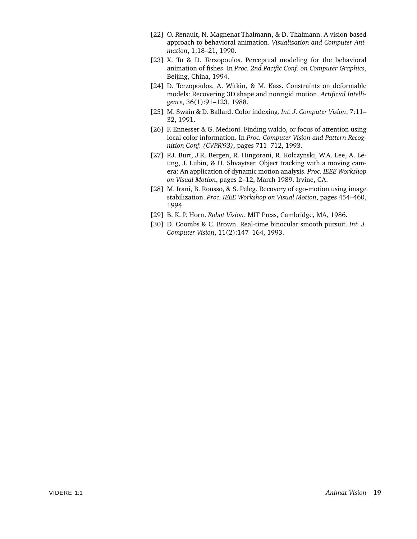- [22] O. Renault, N. Magnenat-Thalmann, & D. Thalmann. A vision-based approach to behavioral animation. *Visualization and Computer Animation*, 1:18–21, 1990.
- [23] X. Tu & D. Terzopoulos. Perceptual modeling for the behavioral animation of fishes. In *Proc. 2nd Pacific Conf. on Computer Graphics*, Beijing, China, 1994.
- [24] D. Terzopoulos, A. Witkin, & M. Kass. Constraints on deformable models: Recovering 3D shape and nonrigid motion. *Artificial Intelligence*, 36(1):91–123, 1988.
- [25] M. Swain & D. Ballard. Color indexing. *Int. J. Computer Vision*, 7:11– 32, 1991.
- [26] F. Ennesser & G. Medioni. Finding waldo, or focus of attention using local color information. In *Proc. Computer Vision and Pattern Recognition Conf. (CVPR'93)*, pages 711–712, 1993.
- [27] P.J. Burt, J.R. Bergen, R. Hingorani, R. Kolczynski, W.A. Lee, A. Leung, J. Lubin, & H. Shvaytser. Object tracking with a moving camera: An application of dynamic motion analysis. *Proc. IEEE Workshop on Visual Motion*, pages 2–12, March 1989. Irvine, CA.
- [28] M. Irani, B. Rousso, & S. Peleg. Recovery of ego-motion using image stabilization. *Proc. IEEE Workshop on Visual Motion*, pages 454–460, 1994.
- [29] B. K. P. Horn. *Robot Vision*. MIT Press, Cambridge, MA, 1986.
- [30] D. Coombs & C. Brown. Real-time binocular smooth pursuit. *Int. J. Computer Vision*, 11(2):147–164, 1993.